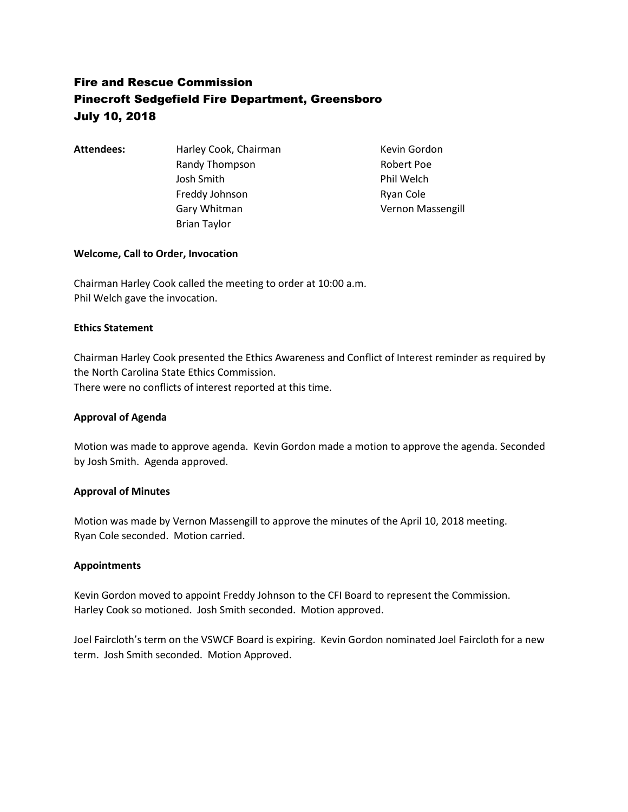# Fire and Rescue Commission Pinecroft Sedgefield Fire Department, Greensboro July 10, 2018

Attendees: Harley Cook, Chairman Kevin Gordon Randy Thompson Randy Thompson Josh Smith **Phil Welch** Freddy Johnson Ryan Cole Gary Whitman **Vernon Massengill** Brian Taylor

# **Welcome, Call to Order, Invocation**

Chairman Harley Cook called the meeting to order at 10:00 a.m. Phil Welch gave the invocation.

### **Ethics Statement**

Chairman Harley Cook presented the Ethics Awareness and Conflict of Interest reminder as required by the North Carolina State Ethics Commission. There were no conflicts of interest reported at this time.

### **Approval of Agenda**

Motion was made to approve agenda. Kevin Gordon made a motion to approve the agenda. Seconded by Josh Smith. Agenda approved.

### **Approval of Minutes**

Motion was made by Vernon Massengill to approve the minutes of the April 10, 2018 meeting. Ryan Cole seconded. Motion carried.

### **Appointments**

Kevin Gordon moved to appoint Freddy Johnson to the CFI Board to represent the Commission. Harley Cook so motioned. Josh Smith seconded. Motion approved.

Joel Faircloth's term on the VSWCF Board is expiring. Kevin Gordon nominated Joel Faircloth for a new term. Josh Smith seconded. Motion Approved.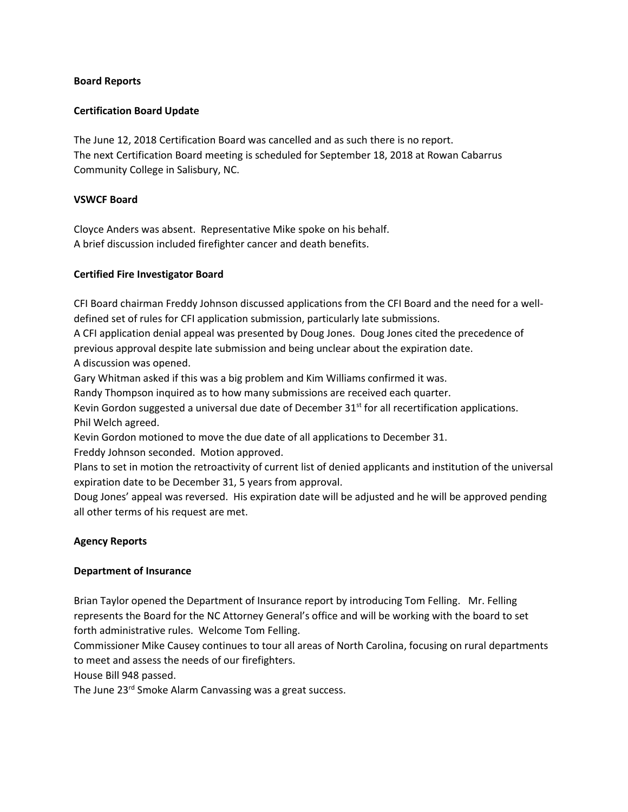### **Board Reports**

### **Certification Board Update**

The June 12, 2018 Certification Board was cancelled and as such there is no report. The next Certification Board meeting is scheduled for September 18, 2018 at Rowan Cabarrus Community College in Salisbury, NC.

### **VSWCF Board**

Cloyce Anders was absent. Representative Mike spoke on his behalf. A brief discussion included firefighter cancer and death benefits.

# **Certified Fire Investigator Board**

CFI Board chairman Freddy Johnson discussed applications from the CFI Board and the need for a welldefined set of rules for CFI application submission, particularly late submissions.

A CFI application denial appeal was presented by Doug Jones. Doug Jones cited the precedence of previous approval despite late submission and being unclear about the expiration date. A discussion was opened.

Gary Whitman asked if this was a big problem and Kim Williams confirmed it was.

Randy Thompson inquired as to how many submissions are received each quarter.

Kevin Gordon suggested a universal due date of December  $31^{st}$  for all recertification applications. Phil Welch agreed.

Kevin Gordon motioned to move the due date of all applications to December 31. Freddy Johnson seconded. Motion approved.

Plans to set in motion the retroactivity of current list of denied applicants and institution of the universal expiration date to be December 31, 5 years from approval.

Doug Jones' appeal was reversed. His expiration date will be adjusted and he will be approved pending all other terms of his request are met.

### **Agency Reports**

### **Department of Insurance**

Brian Taylor opened the Department of Insurance report by introducing Tom Felling. Mr. Felling represents the Board for the NC Attorney General's office and will be working with the board to set forth administrative rules. Welcome Tom Felling.

Commissioner Mike Causey continues to tour all areas of North Carolina, focusing on rural departments to meet and assess the needs of our firefighters.

House Bill 948 passed.

The June 23<sup>rd</sup> Smoke Alarm Canvassing was a great success.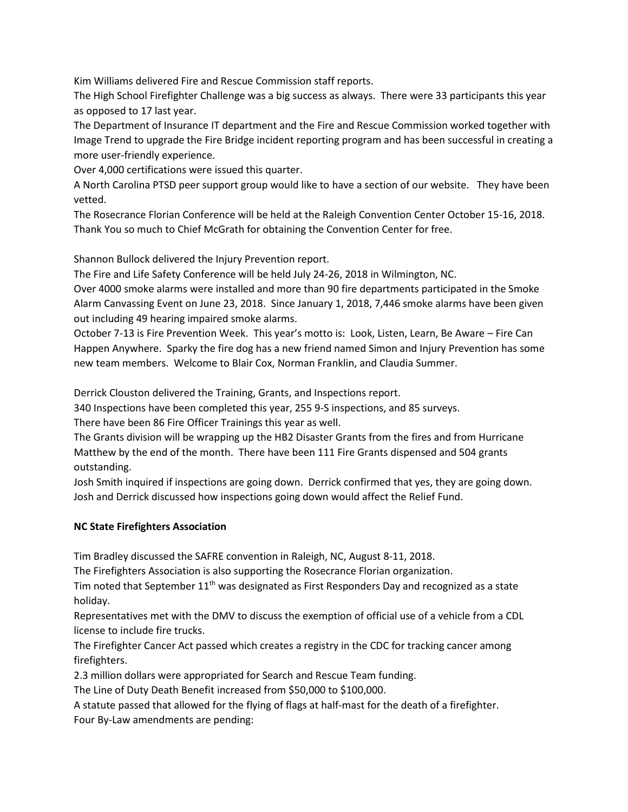Kim Williams delivered Fire and Rescue Commission staff reports.

The High School Firefighter Challenge was a big success as always. There were 33 participants this year as opposed to 17 last year.

The Department of Insurance IT department and the Fire and Rescue Commission worked together with Image Trend to upgrade the Fire Bridge incident reporting program and has been successful in creating a more user-friendly experience.

Over 4,000 certifications were issued this quarter.

A North Carolina PTSD peer support group would like to have a section of our website. They have been vetted.

The Rosecrance Florian Conference will be held at the Raleigh Convention Center October 15-16, 2018. Thank You so much to Chief McGrath for obtaining the Convention Center for free.

Shannon Bullock delivered the Injury Prevention report.

The Fire and Life Safety Conference will be held July 24-26, 2018 in Wilmington, NC.

Over 4000 smoke alarms were installed and more than 90 fire departments participated in the Smoke Alarm Canvassing Event on June 23, 2018. Since January 1, 2018, 7,446 smoke alarms have been given out including 49 hearing impaired smoke alarms.

October 7-13 is Fire Prevention Week. This year's motto is: Look, Listen, Learn, Be Aware – Fire Can Happen Anywhere. Sparky the fire dog has a new friend named Simon and Injury Prevention has some new team members. Welcome to Blair Cox, Norman Franklin, and Claudia Summer.

Derrick Clouston delivered the Training, Grants, and Inspections report.

340 Inspections have been completed this year, 255 9-S inspections, and 85 surveys.

There have been 86 Fire Officer Trainings this year as well.

The Grants division will be wrapping up the HB2 Disaster Grants from the fires and from Hurricane Matthew by the end of the month. There have been 111 Fire Grants dispensed and 504 grants outstanding.

Josh Smith inquired if inspections are going down. Derrick confirmed that yes, they are going down. Josh and Derrick discussed how inspections going down would affect the Relief Fund.

# **NC State Firefighters Association**

Tim Bradley discussed the SAFRE convention in Raleigh, NC, August 8-11, 2018.

The Firefighters Association is also supporting the Rosecrance Florian organization.

Tim noted that September  $11<sup>th</sup>$  was designated as First Responders Day and recognized as a state holiday.

Representatives met with the DMV to discuss the exemption of official use of a vehicle from a CDL license to include fire trucks.

The Firefighter Cancer Act passed which creates a registry in the CDC for tracking cancer among firefighters.

2.3 million dollars were appropriated for Search and Rescue Team funding.

The Line of Duty Death Benefit increased from \$50,000 to \$100,000.

A statute passed that allowed for the flying of flags at half-mast for the death of a firefighter. Four By-Law amendments are pending: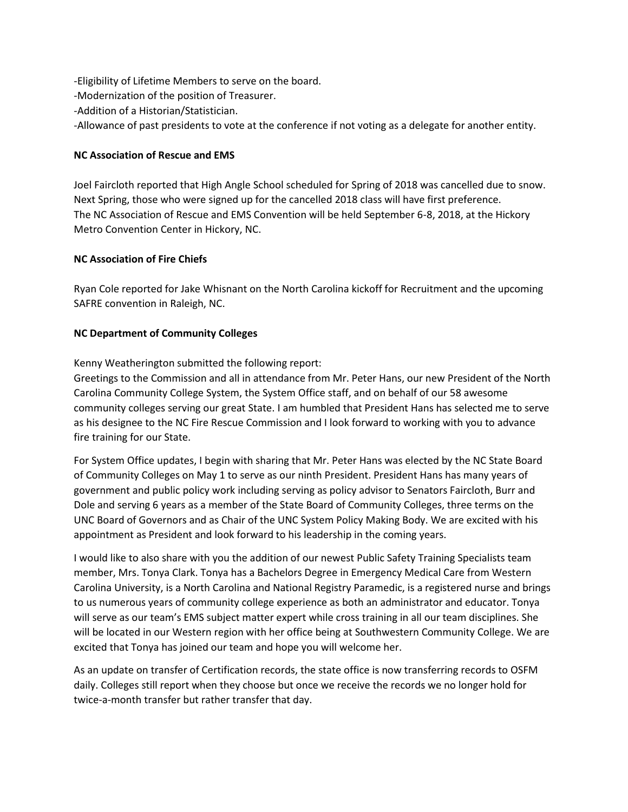-Eligibility of Lifetime Members to serve on the board. -Modernization of the position of Treasurer. -Addition of a Historian/Statistician. -Allowance of past presidents to vote at the conference if not voting as a delegate for another entity.

# **NC Association of Rescue and EMS**

Joel Faircloth reported that High Angle School scheduled for Spring of 2018 was cancelled due to snow. Next Spring, those who were signed up for the cancelled 2018 class will have first preference. The NC Association of Rescue and EMS Convention will be held September 6-8, 2018, at the Hickory Metro Convention Center in Hickory, NC.

# **NC Association of Fire Chiefs**

Ryan Cole reported for Jake Whisnant on the North Carolina kickoff for Recruitment and the upcoming SAFRE convention in Raleigh, NC.

# **NC Department of Community Colleges**

Kenny Weatherington submitted the following report:

Greetings to the Commission and all in attendance from Mr. Peter Hans, our new President of the North Carolina Community College System, the System Office staff, and on behalf of our 58 awesome community colleges serving our great State. I am humbled that President Hans has selected me to serve as his designee to the NC Fire Rescue Commission and I look forward to working with you to advance fire training for our State.

For System Office updates, I begin with sharing that Mr. Peter Hans was elected by the NC State Board of Community Colleges on May 1 to serve as our ninth President. President Hans has many years of government and public policy work including serving as policy advisor to Senators Faircloth, Burr and Dole and serving 6 years as a member of the State Board of Community Colleges, three terms on the UNC Board of Governors and as Chair of the UNC System Policy Making Body. We are excited with his appointment as President and look forward to his leadership in the coming years.

I would like to also share with you the addition of our newest Public Safety Training Specialists team member, Mrs. Tonya Clark. Tonya has a Bachelors Degree in Emergency Medical Care from Western Carolina University, is a North Carolina and National Registry Paramedic, is a registered nurse and brings to us numerous years of community college experience as both an administrator and educator. Tonya will serve as our team's EMS subject matter expert while cross training in all our team disciplines. She will be located in our Western region with her office being at Southwestern Community College. We are excited that Tonya has joined our team and hope you will welcome her.

As an update on transfer of Certification records, the state office is now transferring records to OSFM daily. Colleges still report when they choose but once we receive the records we no longer hold for twice-a-month transfer but rather transfer that day.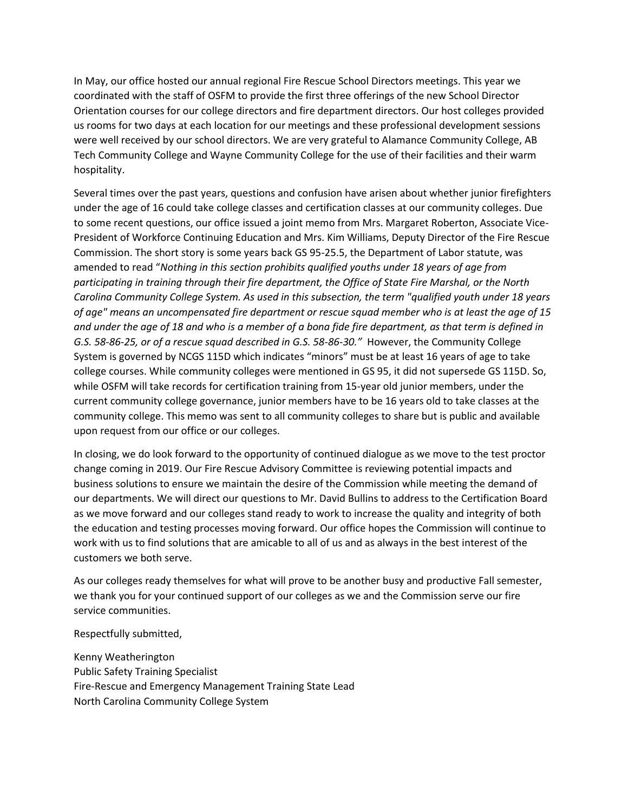In May, our office hosted our annual regional Fire Rescue School Directors meetings. This year we coordinated with the staff of OSFM to provide the first three offerings of the new School Director Orientation courses for our college directors and fire department directors. Our host colleges provided us rooms for two days at each location for our meetings and these professional development sessions were well received by our school directors. We are very grateful to Alamance Community College, AB Tech Community College and Wayne Community College for the use of their facilities and their warm hospitality.

Several times over the past years, questions and confusion have arisen about whether junior firefighters under the age of 16 could take college classes and certification classes at our community colleges. Due to some recent questions, our office issued a joint memo from Mrs. Margaret Roberton, Associate Vice-President of Workforce Continuing Education and Mrs. Kim Williams, Deputy Director of the Fire Rescue Commission. The short story is some years back GS 95-25.5, the Department of Labor statute, was amended to read "*Nothing in this section prohibits qualified youths under 18 years of age from participating in training through their fire department, the Office of State Fire Marshal, or the North Carolina Community College System. As used in this subsection, the term "qualified youth under 18 years of age" means an uncompensated fire department or rescue squad member who is at least the age of 15 and under the age of 18 and who is a member of a bona fide fire department, as that term is defined in G.S. 58-86-25, or of a rescue squad described in G.S. 58-86-30."* However, the Community College System is governed by NCGS 115D which indicates "minors" must be at least 16 years of age to take college courses. While community colleges were mentioned in GS 95, it did not supersede GS 115D. So, while OSFM will take records for certification training from 15-year old junior members, under the current community college governance, junior members have to be 16 years old to take classes at the community college. This memo was sent to all community colleges to share but is public and available upon request from our office or our colleges.

In closing, we do look forward to the opportunity of continued dialogue as we move to the test proctor change coming in 2019. Our Fire Rescue Advisory Committee is reviewing potential impacts and business solutions to ensure we maintain the desire of the Commission while meeting the demand of our departments. We will direct our questions to Mr. David Bullins to address to the Certification Board as we move forward and our colleges stand ready to work to increase the quality and integrity of both the education and testing processes moving forward. Our office hopes the Commission will continue to work with us to find solutions that are amicable to all of us and as always in the best interest of the customers we both serve.

As our colleges ready themselves for what will prove to be another busy and productive Fall semester, we thank you for your continued support of our colleges as we and the Commission serve our fire service communities.

Respectfully submitted,

Kenny Weatherington Public Safety Training Specialist Fire-Rescue and Emergency Management Training State Lead North Carolina Community College System